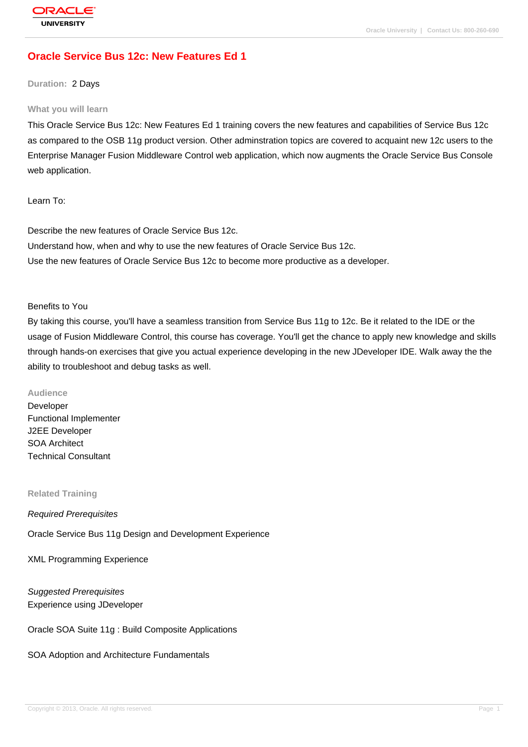# **[Oracle Service](http://education.oracle.com/pls/web_prod-plq-dad/db_pages.getpage?page_id=3) Bus 12c: New Features Ed 1**

**Duration:** 2 Days

#### **What you will learn**

This Oracle Service Bus 12c: New Features Ed 1 training covers the new features and capabilities of Service Bus 12c as compared to the OSB 11g product version. Other adminstration topics are covered to acquaint new 12c users to the Enterprise Manager Fusion Middleware Control web application, which now augments the Oracle Service Bus Console web application.

Learn To:

Describe the new features of Oracle Service Bus 12c. Understand how, when and why to use the new features of Oracle Service Bus 12c. Use the new features of Oracle Service Bus 12c to become more productive as a developer.

Benefits to You

By taking this course, you'll have a seamless transition from Service Bus 11g to 12c. Be it related to the IDE or the usage of Fusion Middleware Control, this course has coverage. You'll get the chance to apply new knowledge and skills through hands-on exercises that give you actual experience developing in the new JDeveloper IDE. Walk away the the ability to troubleshoot and debug tasks as well.

**Audience**

Developer Functional Implementer J2EE Developer SOA Architect Technical Consultant

**Related Training**

Required Prerequisites

Oracle Service Bus 11g Design and Development Experience

XML Programming Experience

Suggested Prerequisites Experience using JDeveloper

Oracle SOA Suite 11g : Build Composite Applications

SOA Adoption and Architecture Fundamentals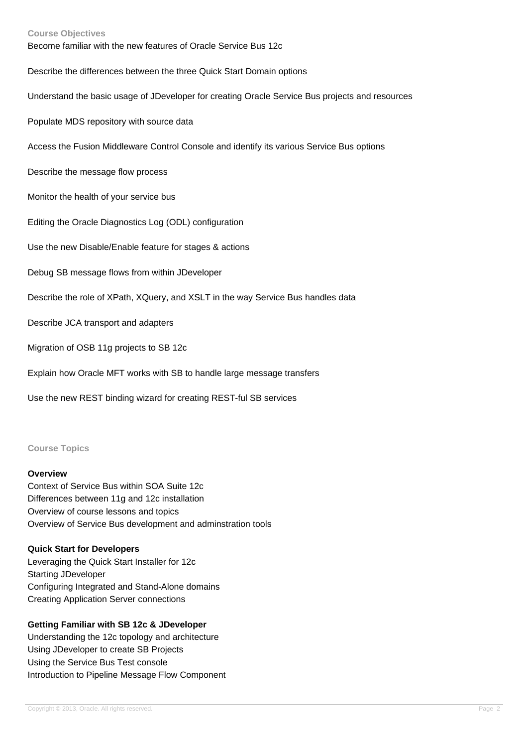#### **Course Objectives**

Become familiar with the new features of Oracle Service Bus 12c

Describe the differences between the three Quick Start Domain options

Understand the basic usage of JDeveloper for creating Oracle Service Bus projects and resources

Populate MDS repository with source data

Access the Fusion Middleware Control Console and identify its various Service Bus options

Describe the message flow process

Monitor the health of your service bus

Editing the Oracle Diagnostics Log (ODL) configuration

Use the new Disable/Enable feature for stages & actions

Debug SB message flows from within JDeveloper

Describe the role of XPath, XQuery, and XSLT in the way Service Bus handles data

Describe JCA transport and adapters

Migration of OSB 11g projects to SB 12c

Explain how Oracle MFT works with SB to handle large message transfers

Use the new REST binding wizard for creating REST-ful SB services

#### **Course Topics**

#### **Overview**

Context of Service Bus within SOA Suite 12c Differences between 11g and 12c installation Overview of course lessons and topics Overview of Service Bus development and adminstration tools

#### **Quick Start for Developers**

Leveraging the Quick Start Installer for 12c Starting JDeveloper Configuring Integrated and Stand-Alone domains Creating Application Server connections

#### **Getting Familiar with SB 12c & JDeveloper**

Understanding the 12c topology and architecture Using JDeveloper to create SB Projects Using the Service Bus Test console Introduction to Pipeline Message Flow Component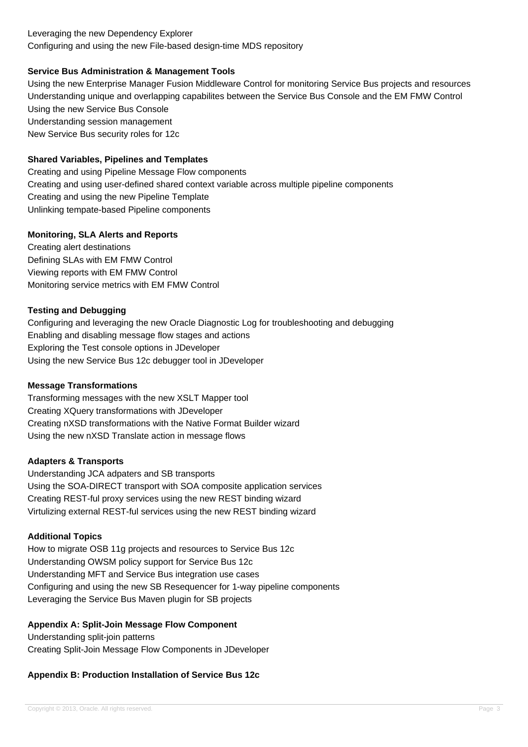#### Leveraging the new Dependency Explorer Configuring and using the new File-based design-time MDS repository

# **Service Bus Administration & Management Tools**

Using the new Enterprise Manager Fusion Middleware Control for monitoring Service Bus projects and resources Understanding unique and overlapping capabilites between the Service Bus Console and the EM FMW Control Using the new Service Bus Console Understanding session management New Service Bus security roles for 12c

# **Shared Variables, Pipelines and Templates**

Creating and using Pipeline Message Flow components Creating and using user-defined shared context variable across multiple pipeline components Creating and using the new Pipeline Template Unlinking tempate-based Pipeline components

# **Monitoring, SLA Alerts and Reports**

Creating alert destinations Defining SLAs with EM FMW Control Viewing reports with EM FMW Control Monitoring service metrics with EM FMW Control

# **Testing and Debugging**

Configuring and leveraging the new Oracle Diagnostic Log for troubleshooting and debugging Enabling and disabling message flow stages and actions Exploring the Test console options in JDeveloper Using the new Service Bus 12c debugger tool in JDeveloper

#### **Message Transformations**

Transforming messages with the new XSLT Mapper tool Creating XQuery transformations with JDeveloper Creating nXSD transformations with the Native Format Builder wizard Using the new nXSD Translate action in message flows

# **Adapters & Transports**

Understanding JCA adpaters and SB transports Using the SOA-DIRECT transport with SOA composite application services Creating REST-ful proxy services using the new REST binding wizard Virtulizing external REST-ful services using the new REST binding wizard

# **Additional Topics**

How to migrate OSB 11g projects and resources to Service Bus 12c Understanding OWSM policy support for Service Bus 12c Understanding MFT and Service Bus integration use cases Configuring and using the new SB Resequencer for 1-way pipeline components Leveraging the Service Bus Maven plugin for SB projects

# **Appendix A: Split-Join Message Flow Component**

Understanding split-join patterns Creating Split-Join Message Flow Components in JDeveloper

# **Appendix B: Production Installation of Service Bus 12c**